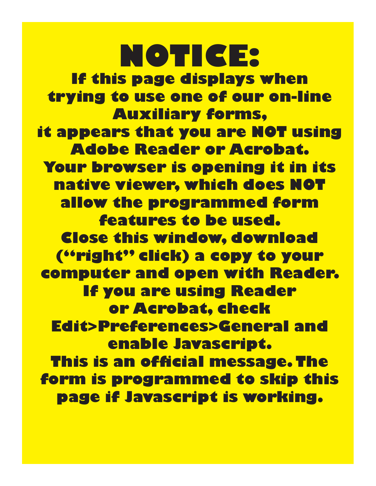**NOTICE: If this page displays when trying to use one of our on-line Auxiliary forms, it appears that you are NOT using Adobe Reader or Acrobat. Your browser is opening it in its native viewer, which does NOT allow the programmed form features to be used. Close this window, download ("right" click) a copy to your computer and open with Reader. If you are using Reader or Acrobat, check Edit>Preferences>General and enable Javascript. This is an official message. The form is programmed to skip this page if Javascript is working.**